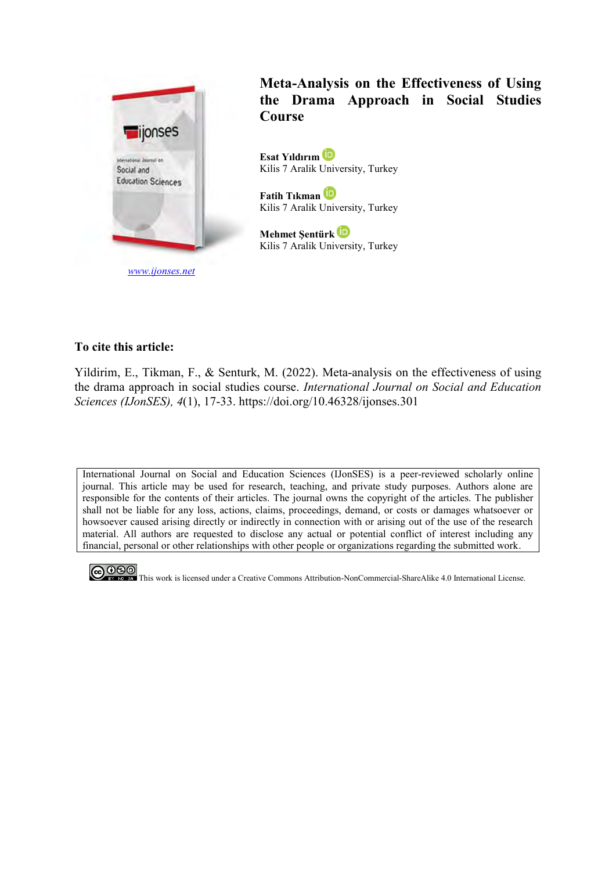

*[www.ijonses.net](http://www.ijonses.net/)*

## **Meta-Analysis on the Effectiveness of Using the Drama Approach in Social Studies Course**

**Esat Yıldırım**  Kilis 7 Aralik University, Turkey

**Fatih Tıkman**  Kilis 7 Aralik University, Turkey

**Mehmet Şentürk**  Kilis 7 Aralik University, Turkey

## **To cite this article:**

Yildirim, E., Tikman, F., & Senturk, M. (2022). Meta-analysis on the effectiveness of using the drama approach in social studies course. *International Journal on Social and Education Sciences (IJonSES), 4*(1), 17-33. https://doi.org/10.46328/ijonses.301

International Journal on Social and Education Sciences (IJonSES) is a peer-reviewed scholarly online journal. This article may be used for research, teaching, and private study purposes. Authors alone are responsible for the contents of their articles. The journal owns the copyright of the articles. The publisher shall not be liable for any loss, actions, claims, proceedings, demand, or costs or damages whatsoever or howsoever caused arising directly or indirectly in connection with or arising out of the use of the research material. All authors are requested to disclose any actual or potential conflict of interest including any financial, personal or other relationships with other people or organizations regarding the submitted work.



CO OSO This work is licensed under a Creative Commons Attribution-NonCommercial-ShareAlike 4.0 International License.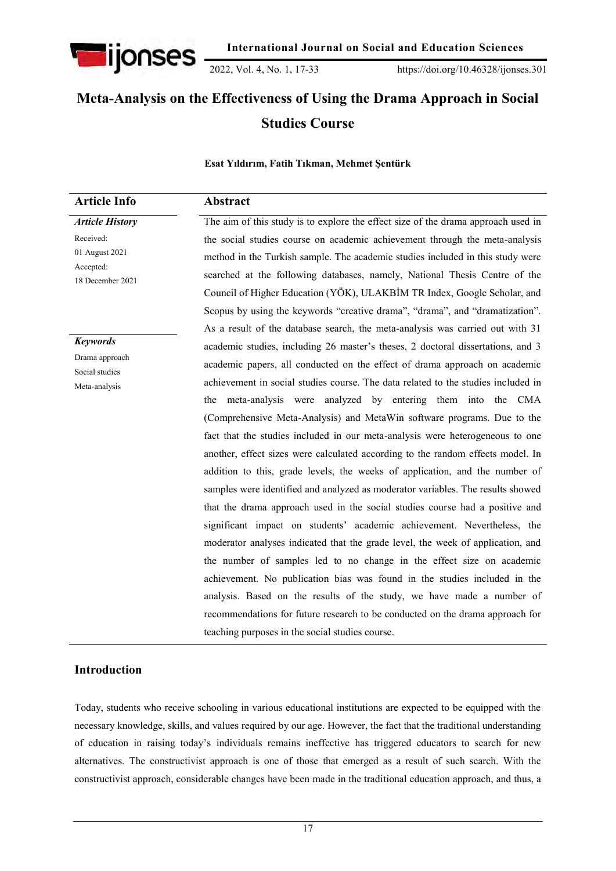

2022, Vol. 4, No. 1, 17-33 https://doi.org/10.46328/ijonses.301

# **Meta-Analysis on the Effectiveness of Using the Drama Approach in Social Studies Course**

**Esat Yıldırım, Fatih Tıkman, Mehmet Şentürk**

| <b>Article Info</b>           | Abstract                                                                          |
|-------------------------------|-----------------------------------------------------------------------------------|
| <b>Article History</b>        | The aim of this study is to explore the effect size of the drama approach used in |
| Received:                     | the social studies course on academic achievement through the meta-analysis       |
| 01 August 2021                | method in the Turkish sample. The academic studies included in this study were    |
| Accepted:<br>18 December 2021 | searched at the following databases, namely, National Thesis Centre of the        |
|                               | Council of Higher Education (YÖK), ULAKBİM TR Index, Google Scholar, and          |
|                               | Scopus by using the keywords "creative drama", "drama", and "dramatization".      |
|                               | As a result of the database search, the meta-analysis was carried out with 31     |
| <b>Keywords</b>               | academic studies, including 26 master's theses, 2 doctoral dissertations, and 3   |
| Drama approach                | academic papers, all conducted on the effect of drama approach on academic        |
| Social studies                | achievement in social studies course. The data related to the studies included in |
| Meta-analysis                 | meta-analysis were analyzed by entering them into the CMA<br>the                  |
|                               | (Comprehensive Meta-Analysis) and MetaWin software programs. Due to the           |
|                               | fact that the studies included in our meta-analysis were heterogeneous to one     |
|                               | another, effect sizes were calculated according to the random effects model. In   |
|                               | addition to this, grade levels, the weeks of application, and the number of       |
|                               | samples were identified and analyzed as moderator variables. The results showed   |
|                               | that the drama approach used in the social studies course had a positive and      |
|                               | significant impact on students' academic achievement. Nevertheless, the           |
|                               | moderator analyses indicated that the grade level, the week of application, and   |
|                               | the number of samples led to no change in the effect size on academic             |
|                               | achievement. No publication bias was found in the studies included in the         |
|                               | analysis. Based on the results of the study, we have made a number of             |
|                               | recommendations for future research to be conducted on the drama approach for     |
|                               | teaching purposes in the social studies course.                                   |
|                               |                                                                                   |

## **Introduction**

Today, students who receive schooling in various educational institutions are expected to be equipped with the necessary knowledge, skills, and values required by our age. However, the fact that the traditional understanding of education in raising today"s individuals remains ineffective has triggered educators to search for new alternatives. The constructivist approach is one of those that emerged as a result of such search. With the constructivist approach, considerable changes have been made in the traditional education approach, and thus, a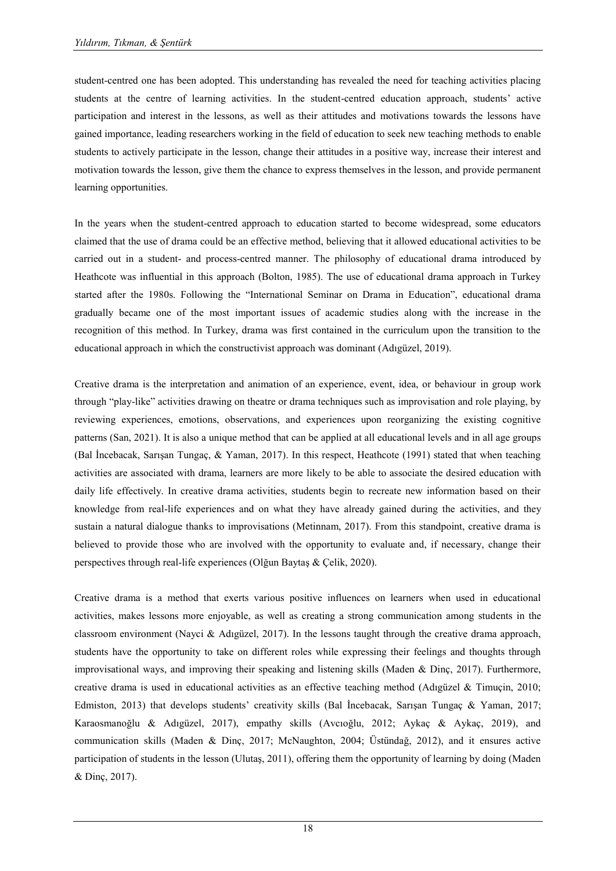student-centred one has been adopted. This understanding has revealed the need for teaching activities placing students at the centre of learning activities. In the student-centred education approach, students" active participation and interest in the lessons, as well as their attitudes and motivations towards the lessons have gained importance, leading researchers working in the field of education to seek new teaching methods to enable students to actively participate in the lesson, change their attitudes in a positive way, increase their interest and motivation towards the lesson, give them the chance to express themselves in the lesson, and provide permanent learning opportunities.

In the years when the student-centred approach to education started to become widespread, some educators claimed that the use of drama could be an effective method, believing that it allowed educational activities to be carried out in a student- and process-centred manner. The philosophy of educational drama introduced by Heathcote was influential in this approach (Bolton, 1985). The use of educational drama approach in Turkey started after the 1980s. Following the "International Seminar on Drama in Education", educational drama gradually became one of the most important issues of academic studies along with the increase in the recognition of this method. In Turkey, drama was first contained in the curriculum upon the transition to the educational approach in which the constructivist approach was dominant (Adıgüzel, 2019).

Creative drama is the interpretation and animation of an experience, event, idea, or behaviour in group work through "play-like" activities drawing on theatre or drama techniques such as improvisation and role playing, by reviewing experiences, emotions, observations, and experiences upon reorganizing the existing cognitive patterns (San, 2021). It is also a unique method that can be applied at all educational levels and in all age groups (Bal İncebacak, Sarışan Tungaç, & Yaman, 2017). In this respect, Heathcote (1991) stated that when teaching activities are associated with drama, learners are more likely to be able to associate the desired education with daily life effectively. In creative drama activities, students begin to recreate new information based on their knowledge from real-life experiences and on what they have already gained during the activities, and they sustain a natural dialogue thanks to improvisations (Metinnam, 2017). From this standpoint, creative drama is believed to provide those who are involved with the opportunity to evaluate and, if necessary, change their perspectives through real-life experiences (Olğun Baytaş & Çelik, 2020).

Creative drama is a method that exerts various positive influences on learners when used in educational activities, makes lessons more enjoyable, as well as creating a strong communication among students in the classroom environment (Nayci & Adıgüzel, 2017). In the lessons taught through the creative drama approach, students have the opportunity to take on different roles while expressing their feelings and thoughts through improvisational ways, and improving their speaking and listening skills (Maden & Dinç, 2017). Furthermore, creative drama is used in educational activities as an effective teaching method (Adıgüzel & Timuçin, 2010; Edmiston, 2013) that develops students" creativity skills (Bal İncebacak, Sarışan Tungaç & Yaman, 2017; Karaosmanoğlu & Adıgüzel, 2017), empathy skills (Avcıoğlu, 2012; Aykaç & Aykaç, 2019), and communication skills (Maden & Dinç, 2017; McNaughton, 2004; Üstündağ, 2012), and it ensures active participation of students in the lesson (Ulutaş, 2011), offering them the opportunity of learning by doing (Maden & Dinç, 2017).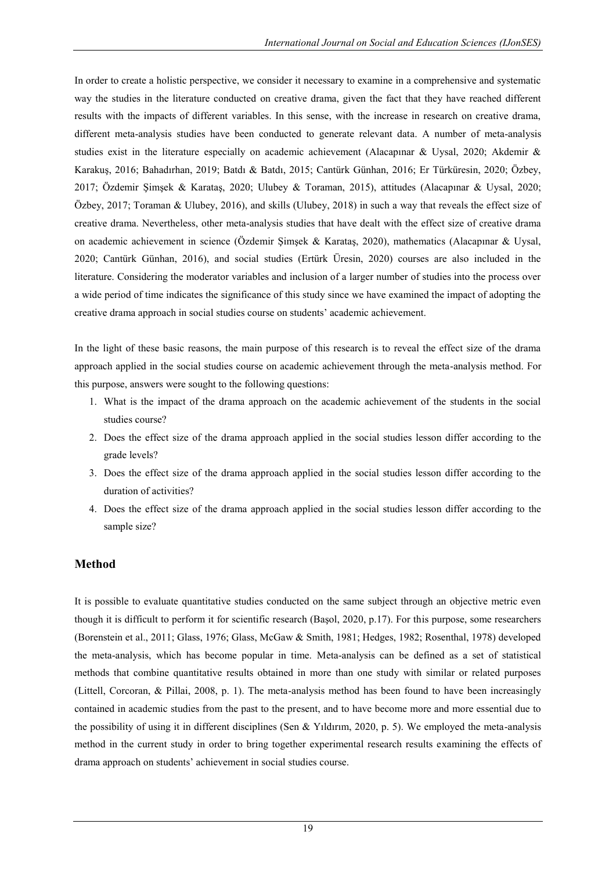In order to create a holistic perspective, we consider it necessary to examine in a comprehensive and systematic way the studies in the literature conducted on creative drama, given the fact that they have reached different results with the impacts of different variables. In this sense, with the increase in research on creative drama, different meta-analysis studies have been conducted to generate relevant data. A number of meta-analysis studies exist in the literature especially on academic achievement (Alacapınar & Uysal, 2020; Akdemir & Karakuş, 2016; Bahadırhan, 2019; Batdı & Batdı, 2015; Cantürk Günhan, 2016; Er Türküresin, 2020; Özbey, 2017; Özdemir Şimşek & Karataş, 2020; Ulubey & Toraman, 2015), attitudes (Alacapınar & Uysal, 2020; Özbey, 2017; Toraman & Ulubey, 2016), and skills (Ulubey, 2018) in such a way that reveals the effect size of creative drama. Nevertheless, other meta-analysis studies that have dealt with the effect size of creative drama on academic achievement in science (Özdemir Şimşek & Karataş, 2020), mathematics (Alacapınar & Uysal, 2020; Cantürk Günhan, 2016), and social studies (Ertürk Üresin, 2020) courses are also included in the literature. Considering the moderator variables and inclusion of a larger number of studies into the process over a wide period of time indicates the significance of this study since we have examined the impact of adopting the creative drama approach in social studies course on students" academic achievement.

In the light of these basic reasons, the main purpose of this research is to reveal the effect size of the drama approach applied in the social studies course on academic achievement through the meta-analysis method. For this purpose, answers were sought to the following questions:

- 1. What is the impact of the drama approach on the academic achievement of the students in the social studies course?
- 2. Does the effect size of the drama approach applied in the social studies lesson differ according to the grade levels?
- 3. Does the effect size of the drama approach applied in the social studies lesson differ according to the duration of activities?
- 4. Does the effect size of the drama approach applied in the social studies lesson differ according to the sample size?

## **Method**

It is possible to evaluate quantitative studies conducted on the same subject through an objective metric even though it is difficult to perform it for scientific research (Başol, 2020, p.17). For this purpose, some researchers (Borenstein et al., 2011; Glass, 1976; Glass, McGaw & Smith, 1981; Hedges, 1982; Rosenthal, 1978) developed the meta-analysis, which has become popular in time. Meta-analysis can be defined as a set of statistical methods that combine quantitative results obtained in more than one study with similar or related purposes (Littell, Corcoran, & Pillai, 2008, p. 1). The meta-analysis method has been found to have been increasingly contained in academic studies from the past to the present, and to have become more and more essential due to the possibility of using it in different disciplines (Sen & Yıldırım, 2020, p. 5). We employed the meta-analysis method in the current study in order to bring together experimental research results examining the effects of drama approach on students" achievement in social studies course.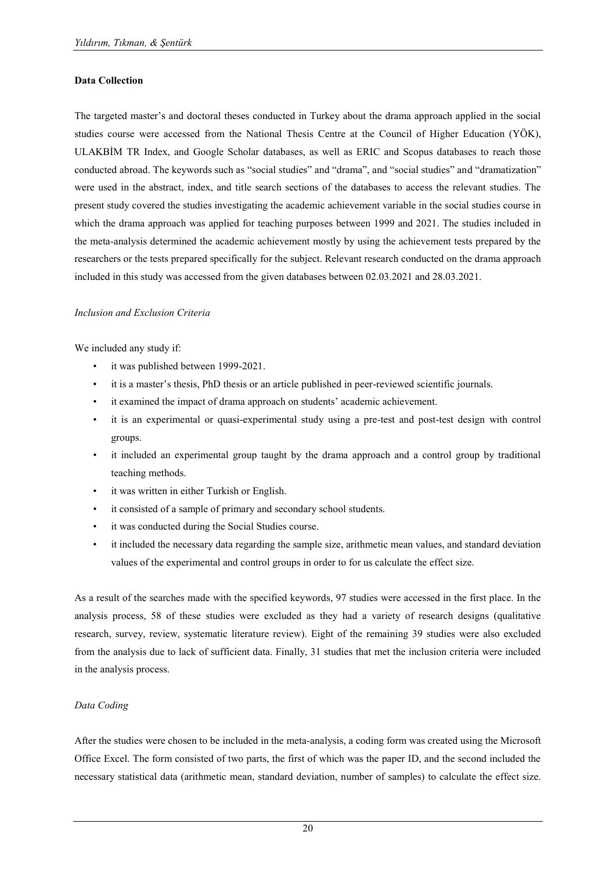#### **Data Collection**

The targeted master"s and doctoral theses conducted in Turkey about the drama approach applied in the social studies course were accessed from the National Thesis Centre at the Council of Higher Education (YÖK), ULAKBİM TR Index, and Google Scholar databases, as well as ERIC and Scopus databases to reach those conducted abroad. The keywords such as "social studies" and "drama", and "social studies" and "dramatization" were used in the abstract, index, and title search sections of the databases to access the relevant studies. The present study covered the studies investigating the academic achievement variable in the social studies course in which the drama approach was applied for teaching purposes between 1999 and 2021. The studies included in the meta-analysis determined the academic achievement mostly by using the achievement tests prepared by the researchers or the tests prepared specifically for the subject. Relevant research conducted on the drama approach included in this study was accessed from the given databases between 02.03.2021 and 28.03.2021.

#### *Inclusion and Exclusion Criteria*

We included any study if:

- it was published between 1999-2021.
- it is a master's thesis, PhD thesis or an article published in peer-reviewed scientific journals.
- it examined the impact of drama approach on students" academic achievement.
- it is an experimental or quasi-experimental study using a pre-test and post-test design with control groups.
- it included an experimental group taught by the drama approach and a control group by traditional teaching methods.
- it was written in either Turkish or English.
- it consisted of a sample of primary and secondary school students.
- it was conducted during the Social Studies course.
- it included the necessary data regarding the sample size, arithmetic mean values, and standard deviation values of the experimental and control groups in order to for us calculate the effect size.

As a result of the searches made with the specified keywords, 97 studies were accessed in the first place. In the analysis process, 58 of these studies were excluded as they had a variety of research designs (qualitative research, survey, review, systematic literature review). Eight of the remaining 39 studies were also excluded from the analysis due to lack of sufficient data. Finally, 31 studies that met the inclusion criteria were included in the analysis process.

#### *Data Coding*

After the studies were chosen to be included in the meta-analysis, a coding form was created using the Microsoft Office Excel. The form consisted of two parts, the first of which was the paper ID, and the second included the necessary statistical data (arithmetic mean, standard deviation, number of samples) to calculate the effect size.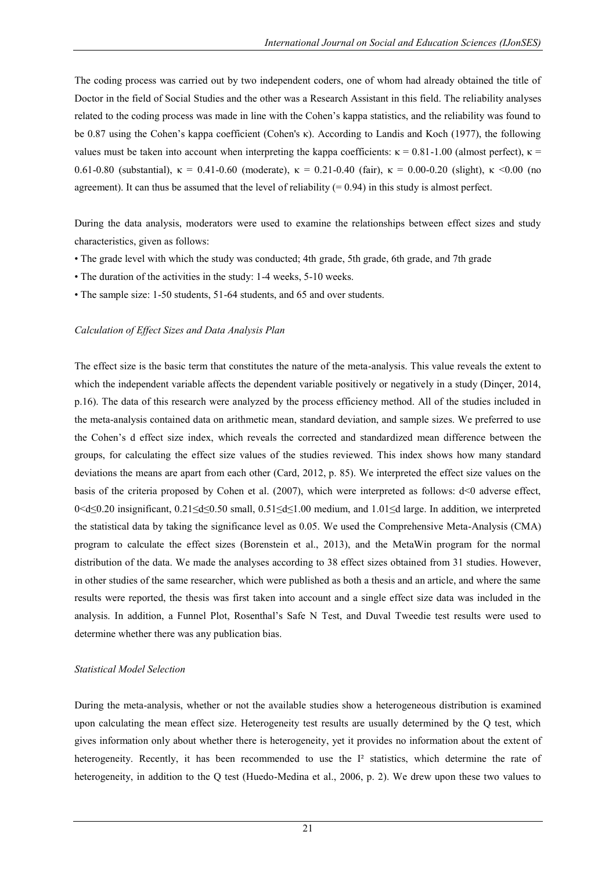The coding process was carried out by two independent coders, one of whom had already obtained the title of Doctor in the field of Social Studies and the other was a Research Assistant in this field. The reliability analyses related to the coding process was made in line with the Cohen"s kappa statistics, and the reliability was found to be 0.87 using the Cohen"s kappa coefficient (Cohen's κ). According to Landis and Koch (1977), the following values must be taken into account when interpreting the kappa coefficients:  $κ = 0.81 - 1.00$  (almost perfect),  $κ =$ 0.61-0.80 (substantial),  $\kappa = 0.41$ -0.60 (moderate),  $\kappa = 0.21$ -0.40 (fair),  $\kappa = 0.00$ -0.20 (slight),  $\kappa$  <0.00 (no agreement). It can thus be assumed that the level of reliability  $(= 0.94)$  in this study is almost perfect.

During the data analysis, moderators were used to examine the relationships between effect sizes and study characteristics, given as follows:

- The grade level with which the study was conducted; 4th grade, 5th grade, 6th grade, and 7th grade
- The duration of the activities in the study: 1-4 weeks, 5-10 weeks.
- The sample size: 1-50 students, 51-64 students, and 65 and over students.

#### *Calculation of Effect Sizes and Data Analysis Plan*

The effect size is the basic term that constitutes the nature of the meta-analysis. This value reveals the extent to which the independent variable affects the dependent variable positively or negatively in a study (Dinçer, 2014, p.16). The data of this research were analyzed by the process efficiency method. All of the studies included in the meta-analysis contained data on arithmetic mean, standard deviation, and sample sizes. We preferred to use the Cohen"s d effect size index, which reveals the corrected and standardized mean difference between the groups, for calculating the effect size values of the studies reviewed. This index shows how many standard deviations the means are apart from each other (Card, 2012, p. 85). We interpreted the effect size values on the basis of the criteria proposed by Cohen et al. (2007), which were interpreted as follows:  $d \le 0$  adverse effect, 0<d≤0.20 insignificant, 0.21≤d≤0.50 small, 0.51≤d≤1.00 medium, and 1.01≤d large. In addition, we interpreted the statistical data by taking the significance level as 0.05. We used the Comprehensive Meta-Analysis (CMA) program to calculate the effect sizes (Borenstein et al., 2013), and the MetaWin program for the normal distribution of the data. We made the analyses according to 38 effect sizes obtained from 31 studies. However, in other studies of the same researcher, which were published as both a thesis and an article, and where the same results were reported, the thesis was first taken into account and a single effect size data was included in the analysis. In addition, a Funnel Plot, Rosenthal"s Safe N Test, and Duval Tweedie test results were used to determine whether there was any publication bias.

#### *Statistical Model Selection*

During the meta-analysis, whether or not the available studies show a heterogeneous distribution is examined upon calculating the mean effect size. Heterogeneity test results are usually determined by the Q test, which gives information only about whether there is heterogeneity, yet it provides no information about the extent of heterogeneity. Recently, it has been recommended to use the I<sup>2</sup> statistics, which determine the rate of heterogeneity, in addition to the Q test (Huedo-Medina et al., 2006, p. 2). We drew upon these two values to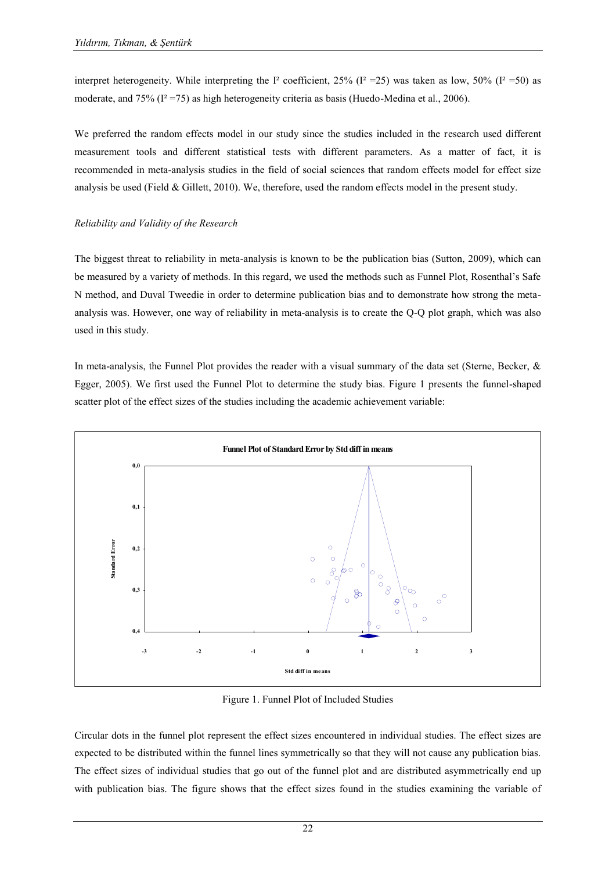interpret heterogeneity. While interpreting the I<sup>2</sup> coefficient, 25% (I<sup>2</sup> = 25) was taken as low, 50% (I<sup>2</sup> = 50) as moderate, and 75% ( $I^2 = 75$ ) as high heterogeneity criteria as basis (Huedo-Medina et al., 2006).

We preferred the random effects model in our study since the studies included in the research used different measurement tools and different statistical tests with different parameters. As a matter of fact, it is recommended in meta-analysis studies in the field of social sciences that random effects model for effect size analysis be used (Field & Gillett, 2010). We, therefore, used the random effects model in the present study.

#### *Reliability and Validity of the Research*

The biggest threat to reliability in meta-analysis is known to be the publication bias (Sutton, 2009), which can be measured by a variety of methods. In this regard, we used the methods such as Funnel Plot, Rosenthal"s Safe N method, and Duval Tweedie in order to determine publication bias and to demonstrate how strong the metaanalysis was. However, one way of reliability in meta-analysis is to create the Q-Q plot graph, which was also used in this study.

In meta-analysis, the Funnel Plot provides the reader with a visual summary of the data set (Sterne, Becker, & Egger, 2005). We first used the Funnel Plot to determine the study bias. Figure 1 presents the funnel-shaped scatter plot of the effect sizes of the studies including the academic achievement variable:



Figure 1. Funnel Plot of Included Studies

Circular dots in the funnel plot represent the effect sizes encountered in individual studies. The effect sizes are expected to be distributed within the funnel lines symmetrically so that they will not cause any publication bias. The effect sizes of individual studies that go out of the funnel plot and are distributed asymmetrically end up with publication bias. The figure shows that the effect sizes found in the studies examining the variable of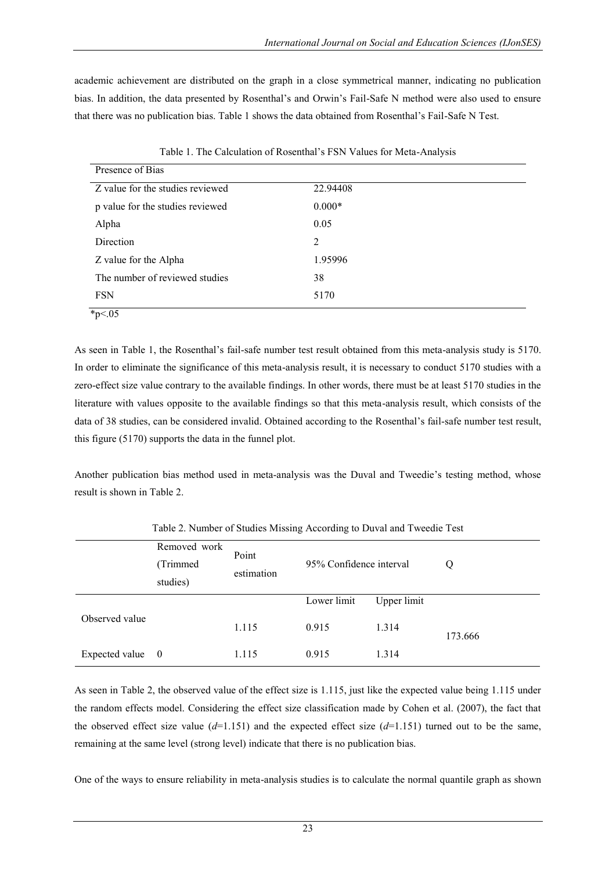academic achievement are distributed on the graph in a close symmetrical manner, indicating no publication bias. In addition, the data presented by Rosenthal's and Orwin's Fail-Safe N method were also used to ensure that there was no publication bias. Table 1 shows the data obtained from Rosenthal"s Fail-Safe N Test.

| Presence of Bias                 |          |
|----------------------------------|----------|
| Z value for the studies reviewed | 22.94408 |
| p value for the studies reviewed | $0.000*$ |
| Alpha                            | 0.05     |
| Direction                        | 2        |
| Z value for the Alpha            | 1.95996  |
| The number of reviewed studies   | 38       |
| <b>FSN</b>                       | 5170     |
| $~^{*}p<.05$                     |          |

Table 1. The Calculation of Rosenthal"s FSN Values for Meta-Analysis

As seen in Table 1, the Rosenthal's fail-safe number test result obtained from this meta-analysis study is 5170. In order to eliminate the significance of this meta-analysis result, it is necessary to conduct 5170 studies with a zero-effect size value contrary to the available findings. In other words, there must be at least 5170 studies in the literature with values opposite to the available findings so that this meta-analysis result, which consists of the data of 38 studies, can be considered invalid. Obtained according to the Rosenthal's fail-safe number test result, this figure (5170) supports the data in the funnel plot.

Another publication bias method used in meta-analysis was the Duval and Tweedie"s testing method, whose result is shown in Table 2.

|                | Removed work<br>(Trimmed)<br>studies) | Point<br>estimation | 95% Confidence interval |             | Q       |
|----------------|---------------------------------------|---------------------|-------------------------|-------------|---------|
|                |                                       |                     | Lower limit             | Upper limit |         |
| Observed value |                                       | 1.115               | 0.915                   | 1.314       | 173.666 |
| Expected value | $\overline{0}$                        | 1.115               | 0.915                   | 1.314       |         |

Table 2. Number of Studies Missing According to Duval and Tweedie Test

As seen in Table 2, the observed value of the effect size is 1.115, just like the expected value being 1.115 under the random effects model. Considering the effect size classification made by Cohen et al. (2007), the fact that the observed effect size value  $(d=1.151)$  and the expected effect size  $(d=1.151)$  turned out to be the same, remaining at the same level (strong level) indicate that there is no publication bias.

One of the ways to ensure reliability in meta-analysis studies is to calculate the normal quantile graph as shown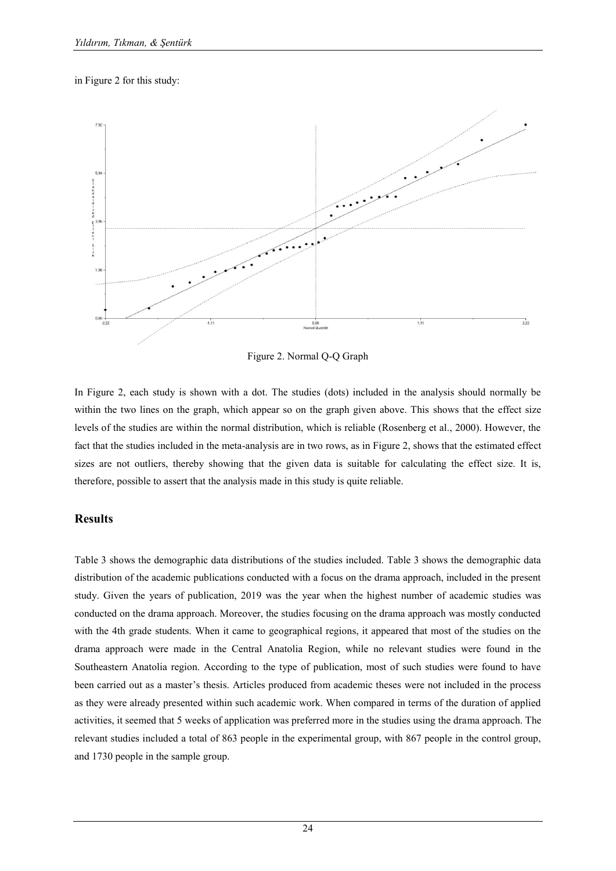in Figure 2 for this study:



Figure 2. Normal Q-Q Graph

In Figure 2, each study is shown with a dot. The studies (dots) included in the analysis should normally be within the two lines on the graph, which appear so on the graph given above. This shows that the effect size levels of the studies are within the normal distribution, which is reliable (Rosenberg et al., 2000). However, the fact that the studies included in the meta-analysis are in two rows, as in Figure 2, shows that the estimated effect sizes are not outliers, thereby showing that the given data is suitable for calculating the effect size. It is, therefore, possible to assert that the analysis made in this study is quite reliable.

## **Results**

Table 3 shows the demographic data distributions of the studies included. Table 3 shows the demographic data distribution of the academic publications conducted with a focus on the drama approach, included in the present study. Given the years of publication, 2019 was the year when the highest number of academic studies was conducted on the drama approach. Moreover, the studies focusing on the drama approach was mostly conducted with the 4th grade students. When it came to geographical regions, it appeared that most of the studies on the drama approach were made in the Central Anatolia Region, while no relevant studies were found in the Southeastern Anatolia region. According to the type of publication, most of such studies were found to have been carried out as a master"s thesis. Articles produced from academic theses were not included in the process as they were already presented within such academic work. When compared in terms of the duration of applied activities, it seemed that 5 weeks of application was preferred more in the studies using the drama approach. The relevant studies included a total of 863 people in the experimental group, with 867 people in the control group, and 1730 people in the sample group.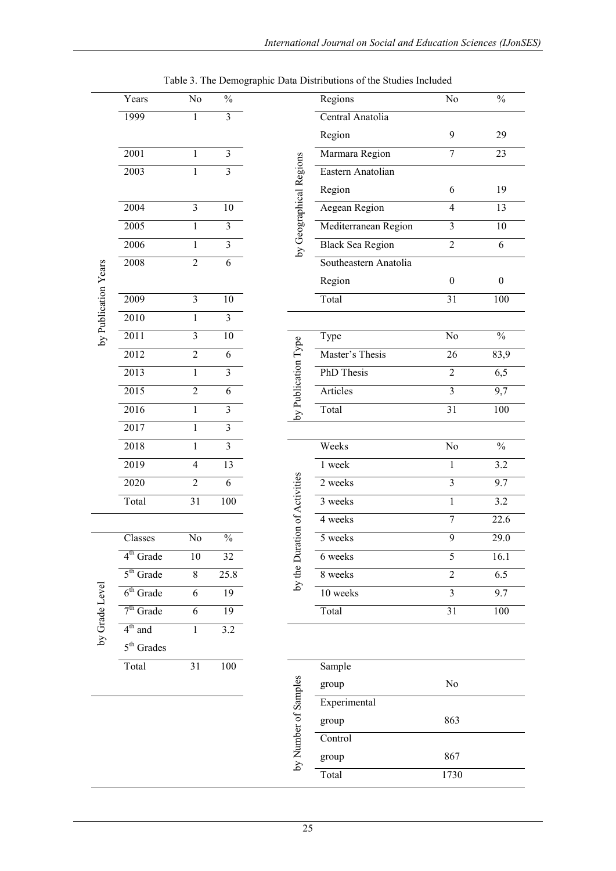|                      |                        |                 |                         |                         | raone s. The Benographic Bata Bistributions of the stadies increased |                         |                          |
|----------------------|------------------------|-----------------|-------------------------|-------------------------|----------------------------------------------------------------------|-------------------------|--------------------------|
|                      | Years                  | No              | $\frac{0}{0}$           |                         | Regions                                                              | No                      | $\frac{0}{0}$            |
|                      | 1999                   | 1               | $\overline{3}$          |                         | Central Anatolia                                                     |                         |                          |
|                      |                        |                 |                         |                         | Region                                                               | 9                       | 29                       |
|                      | 2001                   | 1               | $\mathfrak{Z}$          |                         | Marmara Region                                                       | 7                       | 23                       |
|                      | 2003                   | $\mathbf{1}$    | $\overline{\mathbf{3}}$ |                         | Eastern Anatolian                                                    |                         |                          |
|                      |                        |                 |                         |                         | Region                                                               | 6                       | 19                       |
|                      | 2004                   | $\overline{3}$  | 10                      |                         | <b>Aegean Region</b>                                                 | $\overline{4}$          | 13                       |
|                      | 2005                   | $\mathbf{1}$    | $\overline{\mathbf{3}}$ |                         | Mediterranean Region                                                 | $\overline{\mathbf{3}}$ | $10\,$                   |
|                      | 2006                   | $\mathbf{1}$    | $\overline{3}$          | by Geographical Regions | <b>Black Sea Region</b>                                              | $\overline{2}$          | $\overline{6}$           |
|                      | 2008                   | $\overline{2}$  | 6                       |                         | Southeastern Anatolia                                                |                         |                          |
|                      |                        |                 |                         |                         | Region                                                               | $\boldsymbol{0}$        | $\boldsymbol{0}$         |
| by Publication Years | 2009                   | $\overline{3}$  | $\overline{10}$         |                         | Total                                                                | $\overline{31}$         | 100                      |
|                      | 2010                   | $\mathbf{1}$    | $\overline{3}$          |                         |                                                                      |                         |                          |
|                      | 2011                   | $\overline{3}$  | $\overline{10}$         |                         | Type                                                                 | No                      | $\overline{\frac{0}{6}}$ |
|                      | 2012                   | $\overline{2}$  | $\overline{6}$          |                         | Master's Thesis                                                      | 26                      | 83,9                     |
|                      | 2013                   | $\overline{1}$  | $\overline{3}$          |                         | <b>PhD</b> Thesis                                                    | $\overline{2}$          | 6,5                      |
|                      | $\overline{2015}$      | $\overline{2}$  | $\overline{6}$          | by Publication Type     | Articles                                                             | $\overline{\mathbf{3}}$ | 9,7                      |
|                      | 2016                   | $\mathbf{1}$    | $\overline{3}$          |                         | Total                                                                | $\overline{31}$         | 100                      |
|                      | 2017                   | $\mathbf{1}$    | $\overline{3}$          |                         |                                                                      |                         |                          |
|                      | 2018                   | $\mathbf{1}$    | $\overline{\mathbf{3}}$ |                         | Weeks                                                                | No                      | $\frac{0}{0}$            |
|                      | 2019                   | $\overline{4}$  | 13                      |                         | 1 week                                                               | $\mathbf{1}$            | $\overline{3.2}$         |
|                      | 2020                   | $\overline{2}$  | $\overline{6}$          |                         | 2 weeks                                                              | $\overline{3}$          | 9.7                      |
|                      | Total                  | 31              | $100\,$                 | ation of Activities     | 3 weeks                                                              | $\mathbf{1}$            | 3.2                      |
|                      |                        |                 |                         |                         | 4 weeks                                                              | $\overline{7}$          | 22.6                     |
|                      | Classes                | No              | $\frac{0}{0}$           |                         | 5 weeks                                                              | $\overline{9}$          | 29.0                     |
|                      | 4 <sup>th</sup> Grade  | 10              | 32                      |                         | 6 weeks                                                              | 5                       | 16.1                     |
|                      | $5th$ Grade            | $\overline{8}$  | 25.8                    | by the Dur              | 8 weeks                                                              | $\overline{2}$          | 6.5                      |
|                      | $6th$ Grade            | 6               | $\overline{19}$         |                         | 10 weeks                                                             | $\overline{3}$          | $\overline{9.7}$         |
| by Grade Level       | $7th$ Grade            | 6               | $\overline{19}$         |                         | Total                                                                | 31                      | 100                      |
|                      | $4th$ and              | 1               | $\overline{3.2}$        |                         |                                                                      |                         |                          |
|                      | $5^{\text{th}}$ Grades |                 |                         |                         |                                                                      |                         |                          |
|                      | Total                  | $\overline{31}$ | $100\,$                 |                         | Sample                                                               |                         |                          |
|                      |                        |                 |                         |                         | group                                                                | $\rm No$                |                          |
|                      |                        |                 |                         |                         | Experimental                                                         |                         |                          |
|                      |                        |                 |                         |                         | group                                                                | 863                     |                          |
|                      |                        |                 |                         |                         | Control                                                              |                         |                          |
|                      |                        |                 |                         | by Number of Samples    | group                                                                | 867                     |                          |
|                      |                        |                 |                         |                         |                                                                      | 1720                    |                          |

Table 3. The Demographic Data Distributions of the Studies Included

group 867 Total 1730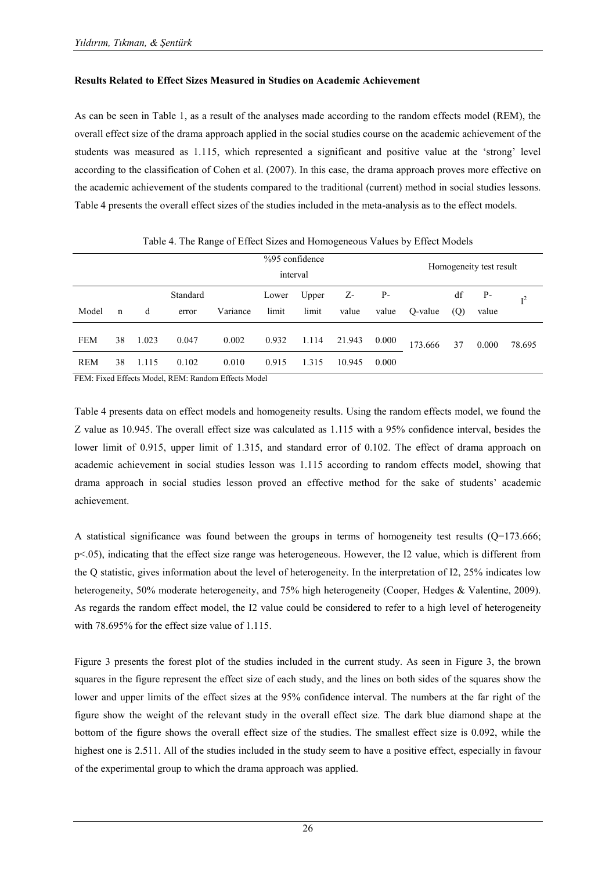#### **Results Related to Effect Sizes Measured in Studies on Academic Achievement**

As can be seen in Table 1, as a result of the analyses made according to the random effects model (REM), the overall effect size of the drama approach applied in the social studies course on the academic achievement of the students was measured as 1.115, which represented a significant and positive value at the "strong" level according to the classification of Cohen et al. (2007). In this case, the drama approach proves more effective on the academic achievement of the students compared to the traditional (current) method in social studies lessons. Table 4 presents the overall effect sizes of the studies included in the meta-analysis as to the effect models.

|            |                                                          |       |                   | $\overline{\phantom{0}}$ |                |                |             |               |         |           |               |        |
|------------|----------------------------------------------------------|-------|-------------------|--------------------------|----------------|----------------|-------------|---------------|---------|-----------|---------------|--------|
|            | $\%95$ confidence<br>Homogeneity test result<br>interval |       |                   |                          |                |                |             |               |         |           |               |        |
| Model      | $\mathbf n$                                              | d     | Standard<br>error | Variance                 | Lower<br>limit | Upper<br>limit | Z-<br>value | $P-$<br>value | Q-value | df<br>(Q) | $P-$<br>value | $I^2$  |
| <b>FEM</b> | 38                                                       | 1.023 | 0.047             | 0.002                    | 0.932          | 1.114          | 21.943      | 0.000         | 173.666 | 37        | 0.000         | 78.695 |
| <b>REM</b> | 38                                                       | 1.115 | 0.102             | 0.010                    | 0.915          | 1.315          | 10.945      | 0.000         |         |           |               |        |

Table 4. The Range of Effect Sizes and Homogeneous Values by Effect Models

FEM: Fixed Effects Model, REM: Random Effects Model

Table 4 presents data on effect models and homogeneity results. Using the random effects model, we found the Z value as 10.945. The overall effect size was calculated as 1.115 with a 95% confidence interval, besides the lower limit of 0.915, upper limit of 1.315, and standard error of 0.102. The effect of drama approach on academic achievement in social studies lesson was 1.115 according to random effects model, showing that drama approach in social studies lesson proved an effective method for the sake of students" academic achievement.

A statistical significance was found between the groups in terms of homogeneity test results  $(Q=173.666;$ p<.05), indicating that the effect size range was heterogeneous. However, the I2 value, which is different from the Q statistic, gives information about the level of heterogeneity. In the interpretation of I2, 25% indicates low heterogeneity, 50% moderate heterogeneity, and 75% high heterogeneity (Cooper, Hedges & Valentine, 2009). As regards the random effect model, the I2 value could be considered to refer to a high level of heterogeneity with 78.695% for the effect size value of 1.115.

Figure 3 presents the forest plot of the studies included in the current study. As seen in Figure 3, the brown squares in the figure represent the effect size of each study, and the lines on both sides of the squares show the lower and upper limits of the effect sizes at the 95% confidence interval. The numbers at the far right of the figure show the weight of the relevant study in the overall effect size. The dark blue diamond shape at the bottom of the figure shows the overall effect size of the studies. The smallest effect size is 0.092, while the highest one is 2.511. All of the studies included in the study seem to have a positive effect, especially in favour of the experimental group to which the drama approach was applied.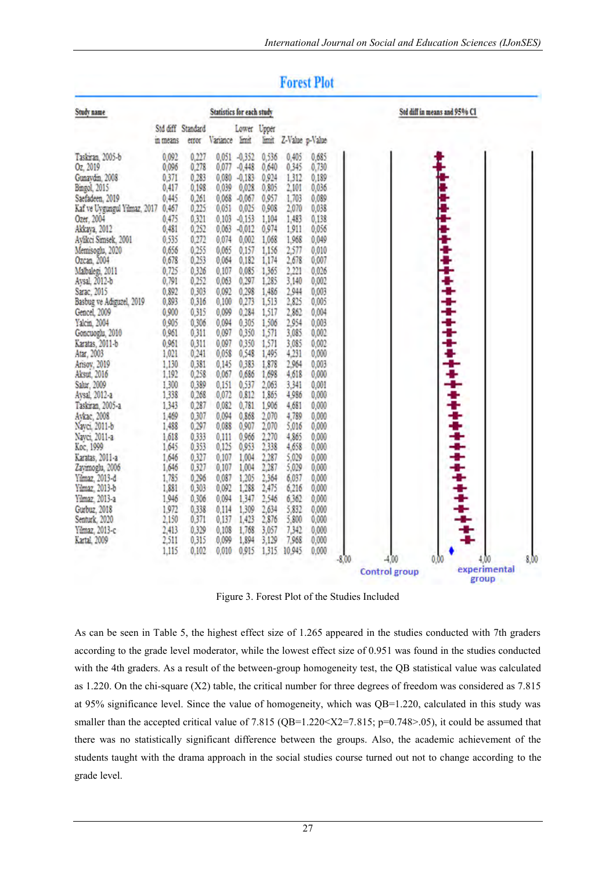| Study name                         | Statistics for each study |                   |               |                 |       |                 |       |         | Std diff in means and 95% CI |         |  |  |
|------------------------------------|---------------------------|-------------------|---------------|-----------------|-------|-----------------|-------|---------|------------------------------|---------|--|--|
|                                    |                           | Std diff Standard |               | Lower Upper     |       |                 |       |         |                              |         |  |  |
|                                    | in means                  | error             | Vanance limit |                 | imit  | Z-Value p-Value |       |         |                              |         |  |  |
| Taskiran, 2005-b                   | 0.092                     | 0.227             |               | $0.051 - 0.352$ | 0.536 | 0.405           | 0.685 |         |                              |         |  |  |
| Oz. 2019                           | 0,096                     | 0,278             | 0.077         | $-0.448$        | 0,640 | 0.345           | 0,730 |         |                              |         |  |  |
| Gunaydin, 2008                     | 0.371                     | 0,283             | 0.080         | $-0.183$        | 0,924 | 1,312           | 0.189 |         |                              |         |  |  |
| <b>Bingol</b> , 2015               | 0,417                     | 0,198             | 0,039         | 0,028           | 0,805 | 2,101           | 0,036 |         |                              |         |  |  |
| Saefadeen, 2019                    | 0.445                     | 0,261             | 0.068         | $-0.067$        | 0.957 | 1,703           | 0.089 |         |                              |         |  |  |
| Kaf ve Uvgungul Yilmaz, 2017 0,467 |                           | 0.225             | 0.051         | 0.025           | 0,908 | 2,070           | 0,038 |         |                              |         |  |  |
| Ozer. 2004                         | 0.475                     | 0.321             | 0.103         | $-0.153$        | 1.104 | 1,483           | 0.138 |         |                              |         |  |  |
| Akkaya, 2012                       | 0,481                     | 0.252             | 0.063         | $-0.012$        | 0.974 | 1,911           | 0.056 |         |                              |         |  |  |
| Aylikei Simsek, 2001               | 0,535                     | 0.272             | 0.074         | 0,002           | 1,068 | 1,968           | 0.049 |         |                              |         |  |  |
| Memisoglu, 2020                    | 0,656                     | 0,255             | 0,065         | 0.157           | 1,156 | 2,577           | 0.010 |         |                              |         |  |  |
| Ozcan, 2004                        | 0,678                     | 0,253             | 0,064         | 0,182           | 1,174 | 2,678           | 0,007 |         |                              |         |  |  |
| Malbalegi, 2011                    | 0.725                     | 0,326             | 0.107         | 0.085           | 1365  | 2,221           | 0.026 |         |                              |         |  |  |
| Aysal, 2012-b                      | 0.791                     | 0.252             | 0,063         | 0,297           | 1.285 | 3,140           | 0,002 |         |                              | ŧ       |  |  |
| Sarac, 2015                        | 0,892                     | 0.303             | 0.092         | 0.298           | 1.456 | 2.944           | 0.003 |         |                              |         |  |  |
| Basbug ve Adiguzel, 2019           | 0,893                     | 0.316             | 0,100         | 0.273           | 1.513 | 2,825           | 0.005 |         |                              |         |  |  |
| Gencel, 2009                       | 0.900                     | 0,315             | 0.099         | 0.284           | 1,517 | 2,862           | 0.004 |         |                              |         |  |  |
| <b>Yalcin</b> , 2004               | 0.905                     | 0.306             | 0.094         | 0.305           | 1,506 | 2,954           | 0.003 |         |                              | +++++++ |  |  |
| Goncuoglu, 2010                    | 0,961                     | 0,311             | 0,097         | 0,350           | 1,571 | 3,085           | 0.002 |         |                              |         |  |  |
| Karatas, 2011-b                    | 0.961                     | 0.311             | 0.097         | 0,350           | 1,571 | 3,085           | 0,002 |         |                              |         |  |  |
| Atar, 2003                         | 1,021                     | 0.241             | 0.058         | 0,548           | 1,495 | 4,231           | 0,000 |         |                              |         |  |  |
| Ansov, 2019                        | 1,130                     | 0.381             | 0.145         | 0.383           | 1,878 | 2,964           | 0.003 |         |                              |         |  |  |
| Aksut, 2016                        | 1.192                     | 0,258             | 0,067         | 0.686           | 1,698 | 4,618           | 0.000 |         |                              |         |  |  |
| Salur, 2009                        | 1,300                     | 0.389             | 0.151         | 0.537           | 2.063 | 3,341           | 0.001 |         |                              | ŧ       |  |  |
| Aysal, 2012-a                      | 1.338                     | 0.268             | 0.072         | 0.812           | 1.365 | 4,986           | 0.000 |         |                              |         |  |  |
| Taskiran, 2005-a                   | 1,343                     | 0.287             | 0,082         | 0,781           | 1,906 | 4,681           | 0,000 |         |                              |         |  |  |
| Avkac, 2008                        | 1,469                     | 0,307             | 0.094         | 0.868           | 2,070 | 4.789           | 0.000 |         |                              |         |  |  |
| Navci, 2011-b                      | 1,488                     | 0.297             | 0.088         | 0,907           | 2,070 | 5,016           | 0.000 |         |                              | į       |  |  |
| Navci, 2011-a                      | 1,618                     | 0.333             | 0.111         | 0.966           | 2,270 | 4,865           | 0.000 |         |                              |         |  |  |
| Koc. 1999                          | 1.645                     | 0.353             | 0,125         | 0.953           | 2,338 | 4,658           | 0,000 |         |                              | ł       |  |  |
|                                    |                           |                   | 0.107         | 1.004           | 2,287 | 5,029           | 0.000 |         |                              | ۰       |  |  |
| Karatas, 2011-a                    | 1,646<br>1.646            | 0,327<br>0.327    | 0,107         | 1.004           | 2,287 | 5,029           | 0.000 |         |                              | ÷       |  |  |
| Zavimoglu, 2006                    | 1,785                     |                   |               | 1.205           |       | 6,037           | 0.000 |         |                              |         |  |  |
| Yilmaz, 2013-d                     |                           | 0.296             | 0.087         |                 | 2,364 |                 |       |         |                              | ŧ       |  |  |
| Yilmaz, 2013-b                     | 1,881                     | 0.303             | 0,092         | 1,288           | 2,475 | 6,216           | 0,000 |         |                              |         |  |  |
| Yumaz, 2013-a                      | 1,946                     | 0.306             | 0.094         | 1.347           | 2546  | 0.302           | 0.000 |         |                              | ŧ       |  |  |
| Gurbuz, 2018                       | 1,972                     | 0.338             | 0.114         | 1.309           | 2.634 | 5,852           | 0.000 |         |                              |         |  |  |
| Senturk, 2020                      | 2,150                     | 0,371             | 0,137         | 1.423           | 2,876 | 5,800           | 0,000 |         |                              |         |  |  |
| Yilmaz, 2013-c                     | 2,413                     | 0.329             | 0.108         | 1.768           | 3.057 | 7.342           | 0,000 |         |                              |         |  |  |
| Kartal, 2009                       | 2,511                     | 0.315             | 0.099         | 1,894           | 3.129 | 7,968           | 0.000 |         |                              |         |  |  |
|                                    | 1,115                     | 0.102             | 0.010         | 0,915           | 1315  | 10,945          | 0,000 |         |                              |         |  |  |
|                                    |                           |                   |               |                 |       |                 |       | $-3.00$ | -4.00                        | 0.00    |  |  |

# **Forest Plot**

Figure 3. Forest Plot of the Studies Included

As can be seen in Table 5, the highest effect size of 1.265 appeared in the studies conducted with 7th graders according to the grade level moderator, while the lowest effect size of 0.951 was found in the studies conducted with the 4th graders. As a result of the between-group homogeneity test, the QB statistical value was calculated as 1.220. On the chi-square (X2) table, the critical number for three degrees of freedom was considered as 7.815 at 95% significance level. Since the value of homogeneity, which was QB=1.220, calculated in this study was smaller than the accepted critical value of 7.815 (QB=1.220<X2=7.815; p=0.748>.05), it could be assumed that there was no statistically significant difference between the groups. Also, the academic achievement of the students taught with the drama approach in the social studies course turned out not to change according to the grade level.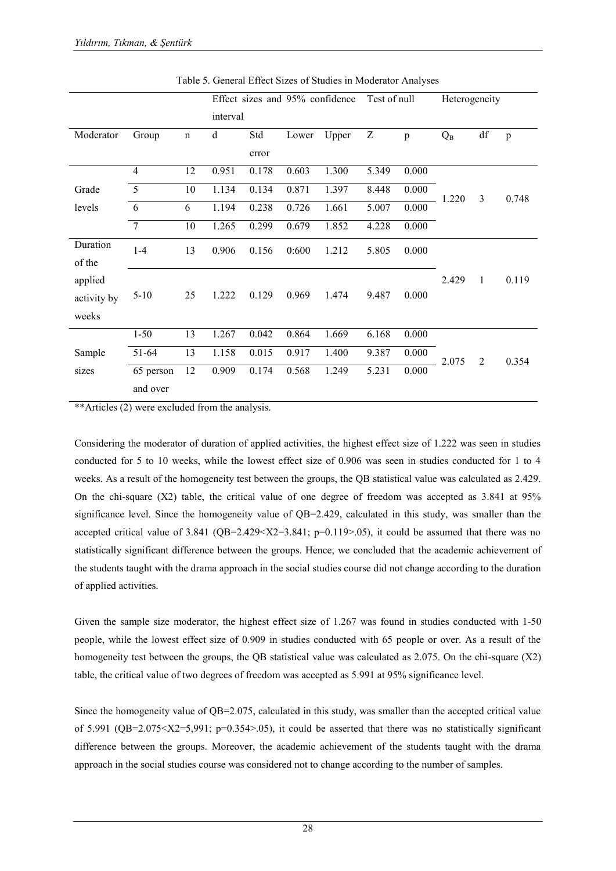|             |                |             |          |       |       | Effect sizes and 95% confidence | Test of null |       | Heterogeneity |                |              |
|-------------|----------------|-------------|----------|-------|-------|---------------------------------|--------------|-------|---------------|----------------|--------------|
|             |                |             | interval |       |       |                                 |              |       |               |                |              |
| Moderator   | Group          | $\mathbf n$ | d        | Std   | Lower | Upper                           | Z            | p     | $Q_B$         | df             | $\mathbf{p}$ |
|             |                |             |          | error |       |                                 |              |       |               |                |              |
|             | $\overline{4}$ | 12          | 0.951    | 0.178 | 0.603 | 1.300                           | 5.349        | 0.000 |               |                |              |
| Grade       | 5              | 10          | 1.134    | 0.134 | 0.871 | 1.397                           | 8.448        | 0.000 | 1.220         | 3              | 0.748        |
| levels      | 6              | 6           | 1.194    | 0.238 | 0.726 | 1.661                           | 5.007        | 0.000 |               |                |              |
|             | $\overline{7}$ | 10          | 1.265    | 0.299 | 0.679 | 1.852                           | 4.228        | 0.000 |               |                |              |
| Duration    | $1 - 4$        | 13          | 0.906    | 0.156 | 0:600 | 1.212                           | 5.805        | 0.000 |               |                |              |
| of the      |                |             |          |       |       |                                 |              |       |               |                |              |
| applied     |                |             |          |       |       |                                 |              |       | 2.429         | 1              | 0.119        |
| activity by | $5-10$         | 25          | 1.222    | 0.129 | 0.969 | 1.474                           | 9.487        | 0.000 |               |                |              |
| weeks       |                |             |          |       |       |                                 |              |       |               |                |              |
|             | $1 - 50$       | 13          | 1.267    | 0.042 | 0.864 | 1.669                           | 6.168        | 0.000 |               |                |              |
| Sample      | 51-64          | 13          | 1.158    | 0.015 | 0.917 | 1.400                           | 9.387        | 0.000 | 2.075         | $\overline{2}$ | 0.354        |
| sizes       | 65 person      | 12          | 0.909    | 0.174 | 0.568 | 1.249                           | 5.231        | 0.000 |               |                |              |
|             | and over       |             |          |       |       |                                 |              |       |               |                |              |

|  |  |  |  | Table 5. General Effect Sizes of Studies in Moderator Analyses |
|--|--|--|--|----------------------------------------------------------------|
|--|--|--|--|----------------------------------------------------------------|

\*\*Articles (2) were excluded from the analysis.

Considering the moderator of duration of applied activities, the highest effect size of 1.222 was seen in studies conducted for 5 to 10 weeks, while the lowest effect size of 0.906 was seen in studies conducted for 1 to 4 weeks. As a result of the homogeneity test between the groups, the QB statistical value was calculated as 2.429. On the chi-square (X2) table, the critical value of one degree of freedom was accepted as 3.841 at 95% significance level. Since the homogeneity value of QB=2.429, calculated in this study, was smaller than the accepted critical value of  $3.841$  (QB=2.429<X2=3.841; p=0.119>.05), it could be assumed that there was no statistically significant difference between the groups. Hence, we concluded that the academic achievement of the students taught with the drama approach in the social studies course did not change according to the duration of applied activities.

Given the sample size moderator, the highest effect size of 1.267 was found in studies conducted with 1-50 people, while the lowest effect size of 0.909 in studies conducted with 65 people or over. As a result of the homogeneity test between the groups, the QB statistical value was calculated as 2.075. On the chi-square (X2) table, the critical value of two degrees of freedom was accepted as 5.991 at 95% significance level.

Since the homogeneity value of QB=2.075, calculated in this study, was smaller than the accepted critical value of 5.991 (QB=2.075  $X2=5,991$ ; p=0.354 > 05), it could be asserted that there was no statistically significant difference between the groups. Moreover, the academic achievement of the students taught with the drama approach in the social studies course was considered not to change according to the number of samples.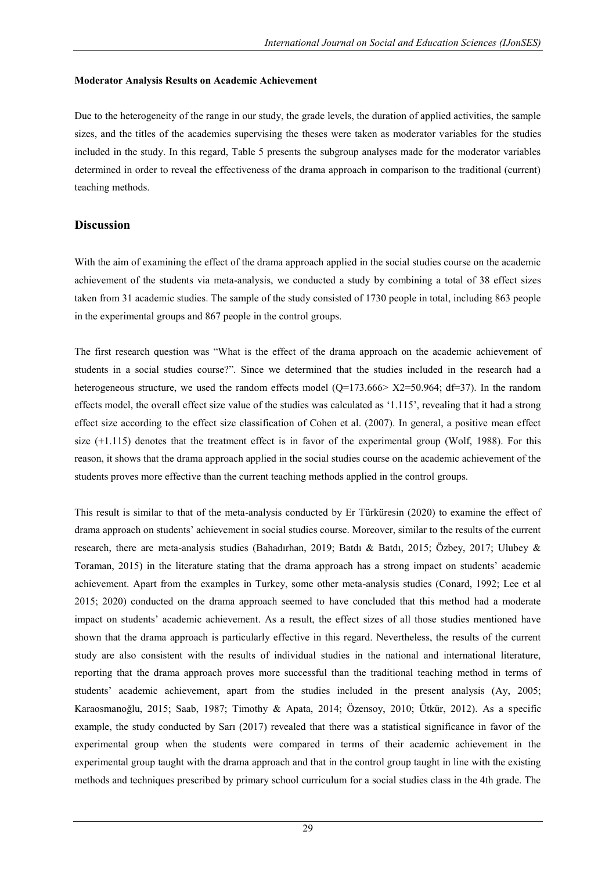#### **Moderator Analysis Results on Academic Achievement**

Due to the heterogeneity of the range in our study, the grade levels, the duration of applied activities, the sample sizes, and the titles of the academics supervising the theses were taken as moderator variables for the studies included in the study. In this regard, Table 5 presents the subgroup analyses made for the moderator variables determined in order to reveal the effectiveness of the drama approach in comparison to the traditional (current) teaching methods.

## **Discussion**

With the aim of examining the effect of the drama approach applied in the social studies course on the academic achievement of the students via meta-analysis, we conducted a study by combining a total of 38 effect sizes taken from 31 academic studies. The sample of the study consisted of 1730 people in total, including 863 people in the experimental groups and 867 people in the control groups.

The first research question was "What is the effect of the drama approach on the academic achievement of students in a social studies course?". Since we determined that the studies included in the research had a heterogeneous structure, we used the random effects model (Q=173.666> X2=50.964; df=37). In the random effects model, the overall effect size value of the studies was calculated as "1.115", revealing that it had a strong effect size according to the effect size classification of Cohen et al. (2007). In general, a positive mean effect size (+1.115) denotes that the treatment effect is in favor of the experimental group (Wolf, 1988). For this reason, it shows that the drama approach applied in the social studies course on the academic achievement of the students proves more effective than the current teaching methods applied in the control groups.

This result is similar to that of the meta-analysis conducted by Er Türküresin (2020) to examine the effect of drama approach on students" achievement in social studies course. Moreover, similar to the results of the current research, there are meta-analysis studies (Bahadırhan, 2019; Batdı & Batdı, 2015; Özbey, 2017; Ulubey & Toraman, 2015) in the literature stating that the drama approach has a strong impact on students" academic achievement. Apart from the examples in Turkey, some other meta-analysis studies (Conard, 1992; Lee et al 2015; 2020) conducted on the drama approach seemed to have concluded that this method had a moderate impact on students" academic achievement. As a result, the effect sizes of all those studies mentioned have shown that the drama approach is particularly effective in this regard. Nevertheless, the results of the current study are also consistent with the results of individual studies in the national and international literature, reporting that the drama approach proves more successful than the traditional teaching method in terms of students" academic achievement, apart from the studies included in the present analysis (Ay, 2005; Karaosmanoğlu, 2015; Saab, 1987; Timothy & Apata, 2014; Özensoy, 2010; Ütkür, 2012). As a specific example, the study conducted by Sarı (2017) revealed that there was a statistical significance in favor of the experimental group when the students were compared in terms of their academic achievement in the experimental group taught with the drama approach and that in the control group taught in line with the existing methods and techniques prescribed by primary school curriculum for a social studies class in the 4th grade. The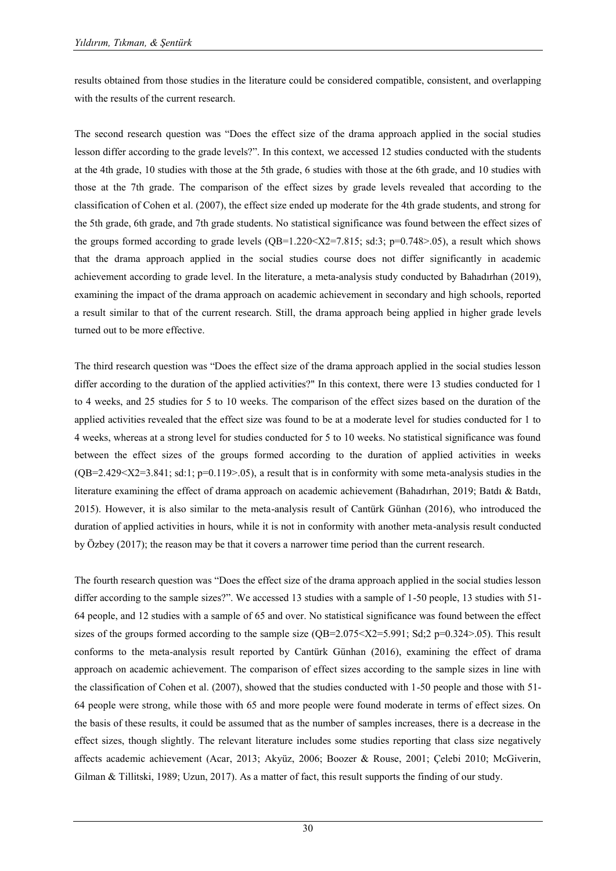results obtained from those studies in the literature could be considered compatible, consistent, and overlapping with the results of the current research.

The second research question was "Does the effect size of the drama approach applied in the social studies lesson differ according to the grade levels?". In this context, we accessed 12 studies conducted with the students at the 4th grade, 10 studies with those at the 5th grade, 6 studies with those at the 6th grade, and 10 studies with those at the 7th grade. The comparison of the effect sizes by grade levels revealed that according to the classification of Cohen et al. (2007), the effect size ended up moderate for the 4th grade students, and strong for the 5th grade, 6th grade, and 7th grade students. No statistical significance was found between the effect sizes of the groups formed according to grade levels  $(QB=1.220 \leq X2=7.815$ ; sd:3;  $p=0.748 \geq .05$ ), a result which shows that the drama approach applied in the social studies course does not differ significantly in academic achievement according to grade level. In the literature, a meta-analysis study conducted by Bahadırhan (2019), examining the impact of the drama approach on academic achievement in secondary and high schools, reported a result similar to that of the current research. Still, the drama approach being applied in higher grade levels turned out to be more effective.

The third research question was "Does the effect size of the drama approach applied in the social studies lesson differ according to the duration of the applied activities?" In this context, there were 13 studies conducted for 1 to 4 weeks, and 25 studies for 5 to 10 weeks. The comparison of the effect sizes based on the duration of the applied activities revealed that the effect size was found to be at a moderate level for studies conducted for 1 to 4 weeks, whereas at a strong level for studies conducted for 5 to 10 weeks. No statistical significance was found between the effect sizes of the groups formed according to the duration of applied activities in weeks  $(QB=2.429\leq X2=3.841;$  sd:1;  $p=0.119>0.05$ ), a result that is in conformity with some meta-analysis studies in the literature examining the effect of drama approach on academic achievement (Bahadırhan, 2019; Batdı & Batdı, 2015). However, it is also similar to the meta-analysis result of Cantürk Günhan (2016), who introduced the duration of applied activities in hours, while it is not in conformity with another meta-analysis result conducted by Özbey (2017); the reason may be that it covers a narrower time period than the current research.

The fourth research question was "Does the effect size of the drama approach applied in the social studies lesson differ according to the sample sizes?". We accessed 13 studies with a sample of 1-50 people, 13 studies with 51- 64 people, and 12 studies with a sample of 65 and over. No statistical significance was found between the effect sizes of the groups formed according to the sample size  $(QB=2.075\leq X2=5.991$ ; Sd;2 p=0.324>.05). This result conforms to the meta-analysis result reported by Cantürk Günhan (2016), examining the effect of drama approach on academic achievement. The comparison of effect sizes according to the sample sizes in line with the classification of Cohen et al. (2007), showed that the studies conducted with 1-50 people and those with 51- 64 people were strong, while those with 65 and more people were found moderate in terms of effect sizes. On the basis of these results, it could be assumed that as the number of samples increases, there is a decrease in the effect sizes, though slightly. The relevant literature includes some studies reporting that class size negatively affects academic achievement (Acar, 2013; Akyüz, 2006; Boozer & Rouse, 2001; Çelebi 2010; McGiverin, Gilman & Tillitski, 1989; Uzun, 2017). As a matter of fact, this result supports the finding of our study.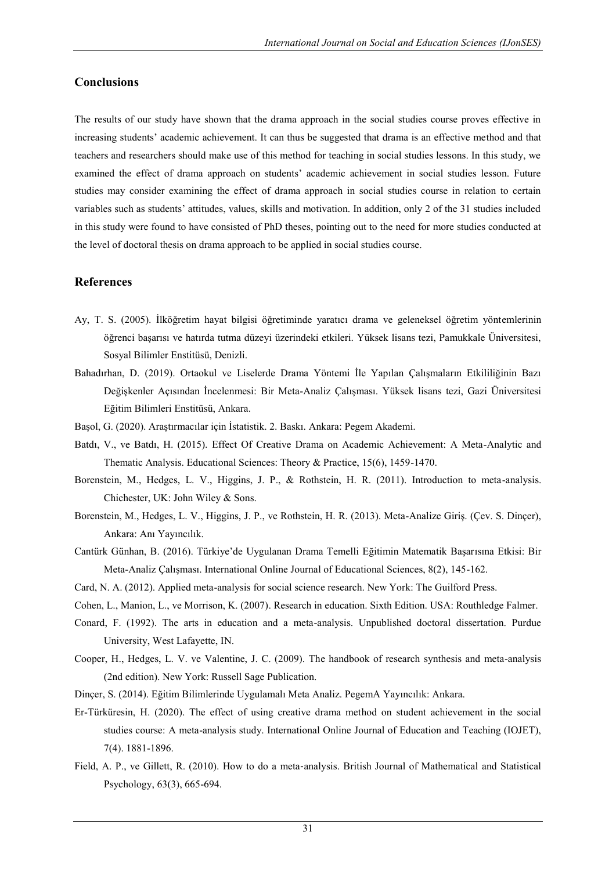## **Conclusions**

The results of our study have shown that the drama approach in the social studies course proves effective in increasing students" academic achievement. It can thus be suggested that drama is an effective method and that teachers and researchers should make use of this method for teaching in social studies lessons. In this study, we examined the effect of drama approach on students" academic achievement in social studies lesson. Future studies may consider examining the effect of drama approach in social studies course in relation to certain variables such as students" attitudes, values, skills and motivation. In addition, only 2 of the 31 studies included in this study were found to have consisted of PhD theses, pointing out to the need for more studies conducted at the level of doctoral thesis on drama approach to be applied in social studies course.

## **References**

- Ay, T. S. (2005). İlköğretim hayat bilgisi öğretiminde yaratıcı drama ve geleneksel öğretim yöntemlerinin öğrenci başarısı ve hatırda tutma düzeyi üzerindeki etkileri. Yüksek lisans tezi, Pamukkale Üniversitesi, Sosyal Bilimler Enstitüsü, Denizli.
- Bahadırhan, D. (2019). Ortaokul ve Liselerde Drama Yöntemi İle Yapılan Çalışmaların Etkililiğinin Bazı Değişkenler Açısından İncelenmesi: Bir Meta-Analiz Çalışması. Yüksek lisans tezi, Gazi Üniversitesi Eğitim Bilimleri Enstitüsü, Ankara.
- Başol, G. (2020). Araştırmacılar için İstatistik. 2. Baskı. Ankara: Pegem Akademi.
- Batdı, V., ve Batdı, H. (2015). Effect Of Creative Drama on Academic Achievement: A Meta-Analytic and Thematic Analysis. Educational Sciences: Theory & Practice, 15(6), 1459-1470.
- Borenstein, M., Hedges, L. V., Higgins, J. P., & Rothstein, H. R. (2011). Introduction to meta-analysis. Chichester, UK: John Wiley & Sons.
- Borenstein, M., Hedges, L. V., Higgins, J. P., ve Rothstein, H. R. (2013). Meta-Analize Giriş. (Çev. S. Dinçer), Ankara: Anı Yayıncılık.
- Cantürk Günhan, B. (2016). Türkiye"de Uygulanan Drama Temelli Eğitimin Matematik Başarısına Etkisi: Bir Meta-Analiz Çalışması. International Online Journal of Educational Sciences, 8(2), 145-162.
- Card, N. A. (2012). Applied meta-analysis for social science research. New York: The Guilford Press.
- Cohen, L., Manion, L., ve Morrison, K. (2007). Research in education. Sixth Edition. USA: Routhledge Falmer.
- Conard, F. (1992). The arts in education and a meta-analysis. Unpublished doctoral dissertation. Purdue University, West Lafayette, IN.
- Cooper, H., Hedges, L. V. ve Valentine, J. C. (2009). The handbook of research synthesis and meta-analysis (2nd edition). New York: Russell Sage Publication.
- Dinçer, S. (2014). Eğitim Bilimlerinde Uygulamalı Meta Analiz. PegemA Yayıncılık: Ankara.
- Er-Türküresin, H. (2020). The effect of using creative drama method on student achievement in the social studies course: A meta-analysis study. International Online Journal of Education and Teaching (IOJET), 7(4). 1881-1896.
- Field, A. P., ve Gillett, R. (2010). How to do a meta-analysis. British Journal of Mathematical and Statistical Psychology, 63(3), 665-694.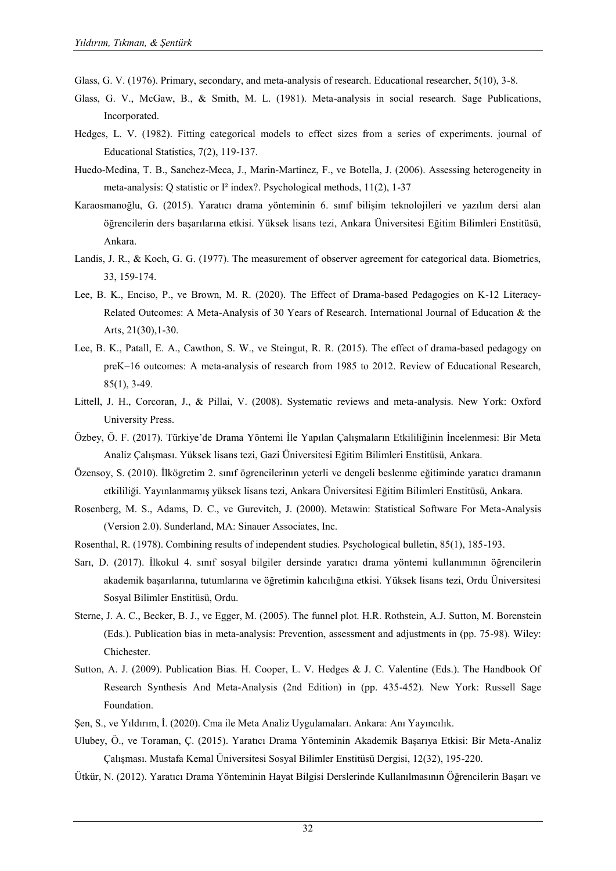- Glass, G. V. (1976). Primary, secondary, and meta-analysis of research. Educational researcher, 5(10), 3-8.
- Glass, G. V., McGaw, B., & Smith, M. L. (1981). Meta-analysis in social research. Sage Publications, Incorporated.
- Hedges, L. V. (1982). Fitting categorical models to effect sizes from a series of experiments. journal of Educational Statistics, 7(2), 119-137.
- Huedo-Medina, T. B., Sanchez-Meca, J., Marin-Martinez, F., ve Botella, J. (2006). Assessing heterogeneity in meta-analysis: Q statistic or I² index?. Psychological methods, 11(2), 1-37
- Karaosmanoğlu, G. (2015). Yaratıcı drama yönteminin 6. sınıf bilişim teknolojileri ve yazılım dersi alan öğrencilerin ders başarılarına etkisi. Yüksek lisans tezi, Ankara Üniversitesi Eğitim Bilimleri Enstitüsü, Ankara.
- Landis, J. R., & Koch, G. G. (1977). The measurement of observer agreement for categorical data. Biometrics, 33, 159-174.
- Lee, B. K., Enciso, P., ve Brown, M. R. (2020). The Effect of Drama-based Pedagogies on K-12 Literacy-Related Outcomes: A Meta-Analysis of 30 Years of Research. International Journal of Education & the Arts, 21(30),1-30.
- Lee, B. K., Patall, E. A., Cawthon, S. W., ve Steingut, R. R. (2015). The effect of drama-based pedagogy on preK–16 outcomes: A meta-analysis of research from 1985 to 2012. Review of Educational Research, 85(1), 3-49.
- Littell, J. H., Corcoran, J., & Pillai, V. (2008). Systematic reviews and meta-analysis. New York: Oxford University Press.
- Özbey, Ö. F. (2017). Türkiye"de Drama Yöntemi İle Yapılan Çalışmaların Etkililiğinin İncelenmesi: Bir Meta Analiz Çalışması. Yüksek lisans tezi, Gazi Üniversitesi Eğitim Bilimleri Enstitüsü, Ankara.
- Özensoy, S. (2010). İlkögretim 2. sınıf ögrencilerinın yeterli ve dengeli beslenme eğitiminde yaratıcı dramanın etkililiği. Yayınlanmamış yüksek lisans tezi, Ankara Üniversitesi Eğitim Bilimleri Enstitüsü, Ankara.
- Rosenberg, M. S., Adams, D. C., ve Gurevitch, J. (2000). Metawin: Statistical Software For Meta-Analysis (Version 2.0). Sunderland, MA: Sinauer Associates, Inc.
- Rosenthal, R. (1978). Combining results of independent studies. Psychological bulletin, 85(1), 185-193.
- Sarı, D. (2017). İlkokul 4. sınıf sosyal bilgiler dersinde yaratıcı drama yöntemi kullanımının öğrencilerin akademik başarılarına, tutumlarına ve öğretimin kalıcılığına etkisi. Yüksek lisans tezi, Ordu Üniversitesi Sosyal Bilimler Enstitüsü, Ordu.
- Sterne, J. A. C., Becker, B. J., ve Egger, M. (2005). The funnel plot. H.R. Rothstein, A.J. Sutton, M. Borenstein (Eds.). Publication bias in meta-analysis: Prevention, assessment and adjustments in (pp. 75-98). Wiley: Chichester.
- Sutton, A. J. (2009). Publication Bias. H. Cooper, L. V. Hedges & J. C. Valentine (Eds.). The Handbook Of Research Synthesis And Meta-Analysis (2nd Edition) in (pp. 435-452). New York: Russell Sage Foundation.
- Şen, S., ve Yıldırım, İ. (2020). Cma ile Meta Analiz Uygulamaları. Ankara: Anı Yayıncılık.
- Ulubey, Ö., ve Toraman, Ç. (2015). Yaratıcı Drama Yönteminin Akademik Başarıya Etkisi: Bir Meta-Analiz Çalışması. Mustafa Kemal Üniversitesi Sosyal Bilimler Enstitüsü Dergisi, 12(32), 195-220.
- Ütkür, N. (2012). Yaratıcı Drama Yönteminin Hayat Bilgisi Derslerinde Kullanılmasının Öğrencilerin Başarı ve